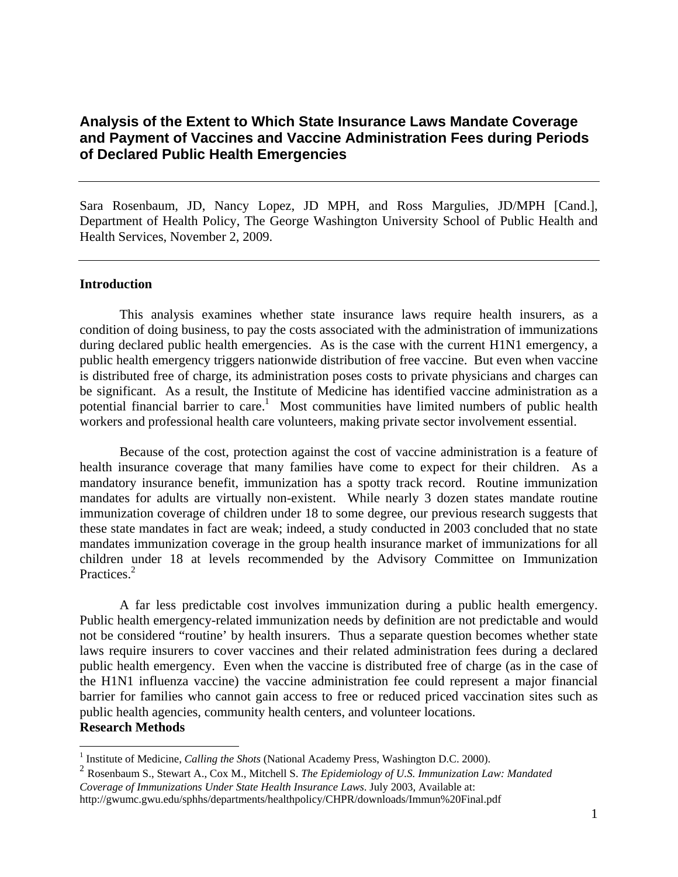## **Analysis of the Extent to Which State Insurance Laws Mandate Coverage and Payment of Vaccines and Vaccine Administration Fees during Periods of Declared Public Health Emergencies**

Sara Rosenbaum, JD, Nancy Lopez, JD MPH, and Ross Margulies, JD/MPH [Cand.], Department of Health Policy, The George Washington University School of Public Health and Health Services, November 2, 2009.

## **Introduction**

 This analysis examines whether state insurance laws require health insurers, as a condition of doing business, to pay the costs associated with the administration of immunizations during declared public health emergencies. As is the case with the current H1N1 emergency, a public health emergency triggers nationwide distribution of free vaccine. But even when vaccine is distributed free of charge, its administration poses costs to private physicians and charges can be significant. As a result, the Institute of Medicine has identified vaccine administration as a potential financial barrier to care.<sup>1</sup> Most communities have limited numbers of public health workers and professional health care volunteers, making private sector involvement essential.

Because of the cost, protection against the cost of vaccine administration is a feature of health insurance coverage that many families have come to expect for their children. As a mandatory insurance benefit, immunization has a spotty track record. Routine immunization mandates for adults are virtually non-existent. While nearly 3 dozen states mandate routine immunization coverage of children under 18 to some degree, our previous research suggests that these state mandates in fact are weak; indeed, a study conducted in 2003 concluded that no state mandates immunization coverage in the group health insurance market of immunizations for all children under 18 at levels recommended by the Advisory Committee on Immunization Practices.<sup>2</sup>

A far less predictable cost involves immunization during a public health emergency. Public health emergency-related immunization needs by definition are not predictable and would not be considered "routine' by health insurers. Thus a separate question becomes whether state laws require insurers to cover vaccines and their related administration fees during a declared public health emergency. Even when the vaccine is distributed free of charge (as in the case of the H1N1 influenza vaccine) the vaccine administration fee could represent a major financial barrier for families who cannot gain access to free or reduced priced vaccination sites such as public health agencies, community health centers, and volunteer locations. **Research Methods** 

 $\overline{a}$ <sup>1</sup> Institute of Medicine, *Calling the Shots* (National Academy Press, Washington D.C. 2000).

<sup>2</sup> Rosenbaum S., Stewart A., Cox M., Mitchell S. *The Epidemiology of U.S. Immunization Law: Mandated Coverage of Immunizations Under State Health Insurance Laws*. July 2003, Available at: http://gwumc.gwu.edu/sphhs/departments/healthpolicy/CHPR/downloads/Immun%20Final.pdf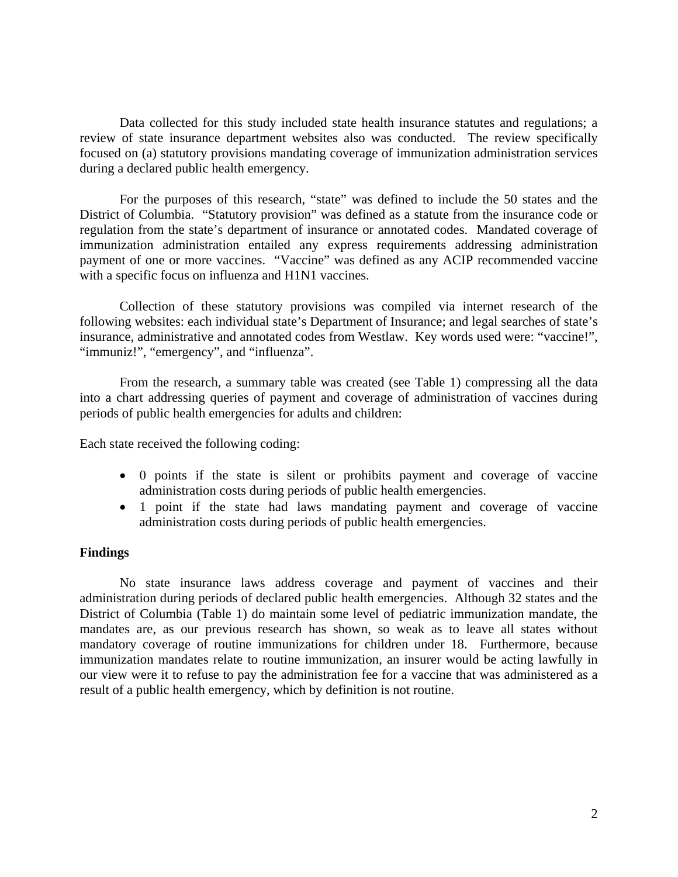Data collected for this study included state health insurance statutes and regulations; a review of state insurance department websites also was conducted. The review specifically focused on (a) statutory provisions mandating coverage of immunization administration services during a declared public health emergency.

For the purposes of this research, "state" was defined to include the 50 states and the District of Columbia. "Statutory provision" was defined as a statute from the insurance code or regulation from the state's department of insurance or annotated codes. Mandated coverage of immunization administration entailed any express requirements addressing administration payment of one or more vaccines. "Vaccine" was defined as any ACIP recommended vaccine with a specific focus on influenza and H1N1 vaccines.

Collection of these statutory provisions was compiled via internet research of the following websites: each individual state's Department of Insurance; and legal searches of state's insurance, administrative and annotated codes from Westlaw. Key words used were: "vaccine!", "immuniz!", "emergency", and "influenza".

 From the research, a summary table was created (see Table 1) compressing all the data into a chart addressing queries of payment and coverage of administration of vaccines during periods of public health emergencies for adults and children:

Each state received the following coding:

- 0 points if the state is silent or prohibits payment and coverage of vaccine administration costs during periods of public health emergencies.
- 1 point if the state had laws mandating payment and coverage of vaccine administration costs during periods of public health emergencies.

## **Findings**

No state insurance laws address coverage and payment of vaccines and their administration during periods of declared public health emergencies. Although 32 states and the District of Columbia (Table 1) do maintain some level of pediatric immunization mandate, the mandates are, as our previous research has shown, so weak as to leave all states without mandatory coverage of routine immunizations for children under 18. Furthermore, because immunization mandates relate to routine immunization, an insurer would be acting lawfully in our view were it to refuse to pay the administration fee for a vaccine that was administered as a result of a public health emergency, which by definition is not routine.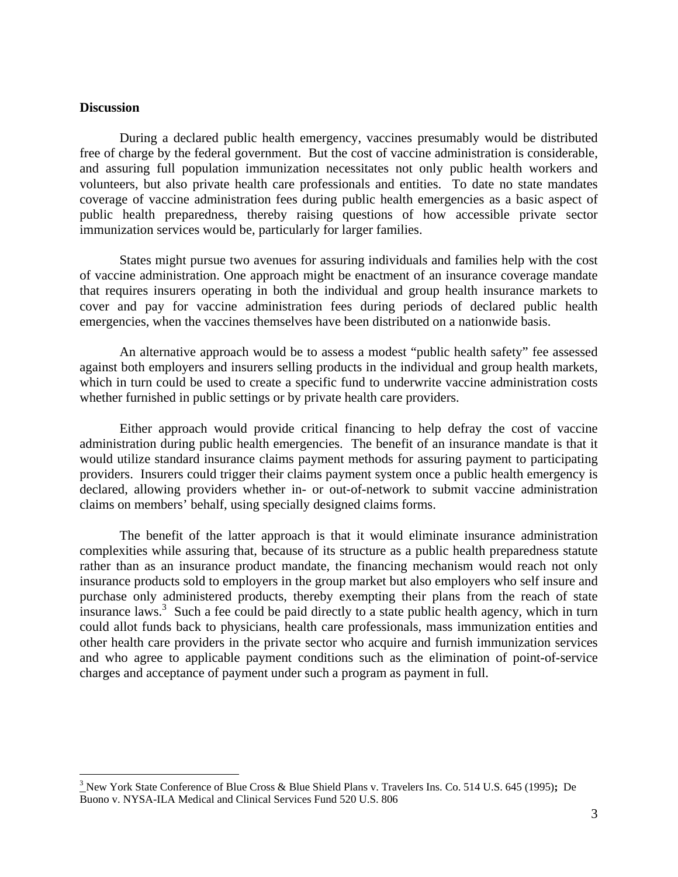## **Discussion**

 $\overline{a}$ 

During a declared public health emergency, vaccines presumably would be distributed free of charge by the federal government. But the cost of vaccine administration is considerable, and assuring full population immunization necessitates not only public health workers and volunteers, but also private health care professionals and entities. To date no state mandates coverage of vaccine administration fees during public health emergencies as a basic aspect of public health preparedness, thereby raising questions of how accessible private sector immunization services would be, particularly for larger families.

States might pursue two avenues for assuring individuals and families help with the cost of vaccine administration. One approach might be enactment of an insurance coverage mandate that requires insurers operating in both the individual and group health insurance markets to cover and pay for vaccine administration fees during periods of declared public health emergencies, when the vaccines themselves have been distributed on a nationwide basis.

An alternative approach would be to assess a modest "public health safety" fee assessed against both employers and insurers selling products in the individual and group health markets, which in turn could be used to create a specific fund to underwrite vaccine administration costs whether furnished in public settings or by private health care providers.

Either approach would provide critical financing to help defray the cost of vaccine administration during public health emergencies. The benefit of an insurance mandate is that it would utilize standard insurance claims payment methods for assuring payment to participating providers. Insurers could trigger their claims payment system once a public health emergency is declared, allowing providers whether in- or out-of-network to submit vaccine administration claims on members' behalf, using specially designed claims forms.

The benefit of the latter approach is that it would eliminate insurance administration complexities while assuring that, because of its structure as a public health preparedness statute rather than as an insurance product mandate, the financing mechanism would reach not only insurance products sold to employers in the group market but also employers who self insure and purchase only administered products, thereby exempting their plans from the reach of state insurance laws.<sup>3</sup> Such a fee could be paid directly to a state public health agency, which in turn could allot funds back to physicians, health care professionals, mass immunization entities and other health care providers in the private sector who acquire and furnish immunization services and who agree to applicable payment conditions such as the elimination of point-of-service charges and acceptance of payment under such a program as payment in full.

<sup>3</sup> New York State Conference of Blue Cross & Blue Shield Plans v. Travelers Ins. Co. 514 U.S. 645 (1995)**;** De Buono v. NYSA-ILA Medical and Clinical Services Fund 520 U.S. 806